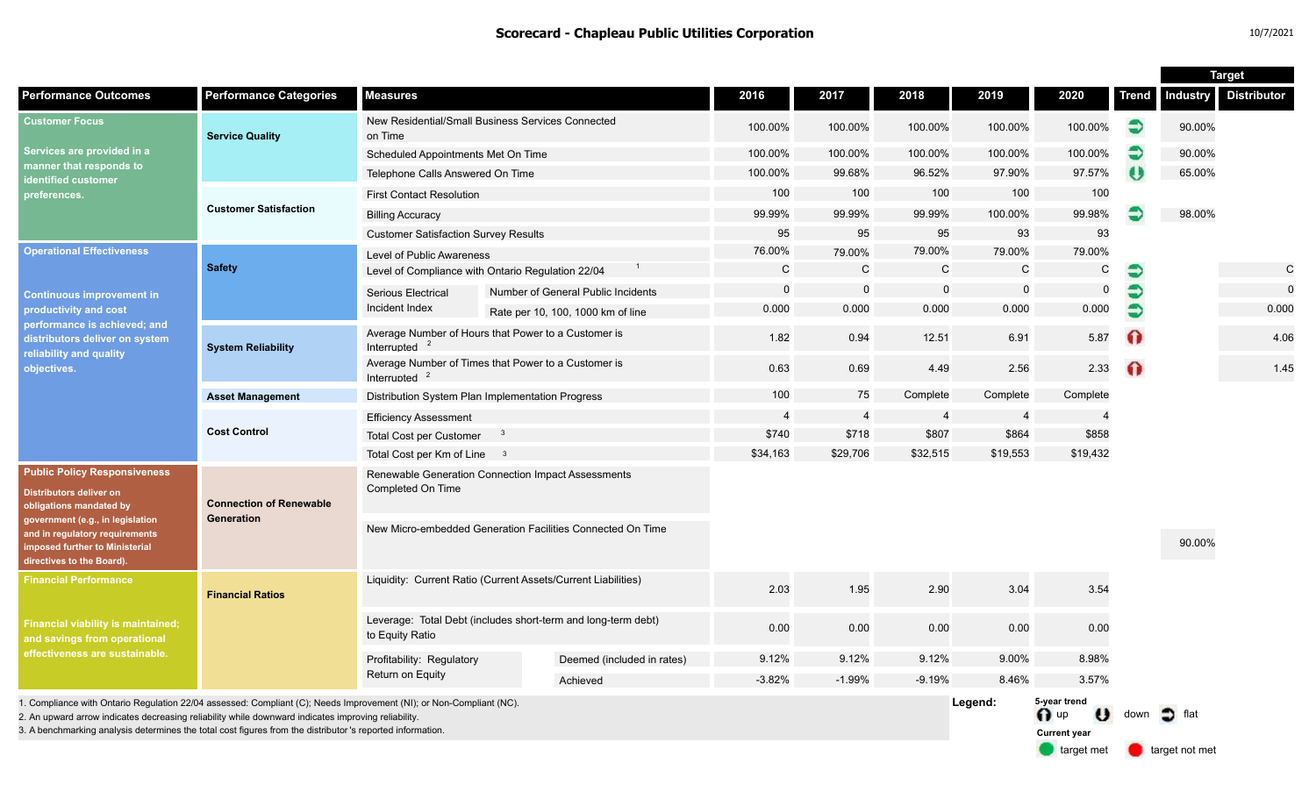|                                                                                                                                                                                                                                                                                                                                         |                                              |                                                                                  |  |                                    |                |                |              |              |                                                                     |              | <b>Target</b>         |                    |
|-----------------------------------------------------------------------------------------------------------------------------------------------------------------------------------------------------------------------------------------------------------------------------------------------------------------------------------------|----------------------------------------------|----------------------------------------------------------------------------------|--|------------------------------------|----------------|----------------|--------------|--------------|---------------------------------------------------------------------|--------------|-----------------------|--------------------|
| <b>Performance Outcomes</b>                                                                                                                                                                                                                                                                                                             | <b>Performance Categories</b>                | <b>Measures</b>                                                                  |  |                                    | 2016           | 2017           | 2018         | 2019         | 2020                                                                | <b>Trend</b> | <b>Industry</b>       | <b>Distributor</b> |
| <b>Customer Focus</b><br>Services are provided in a<br>manner that responds to<br>identified customer<br>preferences.                                                                                                                                                                                                                   | <b>Service Quality</b>                       | New Residential/Small Business Services Connected<br>on Time                     |  | 100.00%                            | 100.00%        | 100.00%        | 100.00%      | 100.00%      | €                                                                   | 90.00%       |                       |                    |
|                                                                                                                                                                                                                                                                                                                                         |                                              | Scheduled Appointments Met On Time                                               |  |                                    | 100.00%        | 100.00%        | 100.00%      | 100.00%      | 100.00%                                                             | €            | 90.00%                |                    |
|                                                                                                                                                                                                                                                                                                                                         |                                              | Telephone Calls Answered On Time                                                 |  |                                    | 100.00%        | 99.68%         | 96.52%       | 97.90%       | 97.57%                                                              | $\theta$     | 65.00%                |                    |
|                                                                                                                                                                                                                                                                                                                                         | <b>Customer Satisfaction</b>                 | <b>First Contact Resolution</b>                                                  |  |                                    | 100            | 100            | 100          | 100          | 100                                                                 |              |                       |                    |
|                                                                                                                                                                                                                                                                                                                                         |                                              | <b>Billing Accuracy</b>                                                          |  |                                    | 99.99%         | 99.99%         | 99.99%       | 100.00%      | 99.98%                                                              | €            | 98.00%                |                    |
|                                                                                                                                                                                                                                                                                                                                         |                                              | <b>Customer Satisfaction Survey Results</b>                                      |  |                                    | 95             | 95             | 95           | 93           | 93                                                                  |              |                       |                    |
| <b>Operational Effectiveness</b><br><b>Continuous improvement in</b><br>productivity and cost<br>performance is achieved; and<br>distributors deliver on system<br>reliability and quality<br>objectives.                                                                                                                               | <b>Safety</b>                                | Level of Public Awareness                                                        |  |                                    | 76.00%         | 79.00%         | 79.00%       | 79.00%       | 79.00%                                                              |              |                       |                    |
|                                                                                                                                                                                                                                                                                                                                         |                                              | Level of Compliance with Ontario Regulation 22/04                                |  | $\mathsf{C}$                       | $\mathsf{C}$   | C              | $\mathsf{C}$ | $\mathsf{C}$ | €                                                                   |              | $\mathbf C$           |                    |
|                                                                                                                                                                                                                                                                                                                                         |                                              | Serious Electrical                                                               |  | Number of General Public Incidents | 0              | $\mathbf 0$    | $\mathbf 0$  | $\mathbf 0$  | 0                                                                   |              |                       | $\mathbf 0$        |
|                                                                                                                                                                                                                                                                                                                                         |                                              | Incident Index                                                                   |  | Rate per 10, 100, 1000 km of line  | 0.000          | 0.000          | 0.000        | 0.000        | 0.000                                                               | €            |                       | 0.000              |
|                                                                                                                                                                                                                                                                                                                                         | <b>System Reliability</b>                    | Average Number of Hours that Power to a Customer is<br>Interrupted               |  |                                    | 1.82           | 0.94           | 12.51        | 6.91         | 5.87                                                                | O            |                       | 4.06               |
|                                                                                                                                                                                                                                                                                                                                         |                                              | Average Number of Times that Power to a Customer is<br>Interrupted               |  |                                    | 0.63           | 0.69           | 4.49         | 2.56         | 2.33                                                                | $\Omega$     |                       | 1.45               |
|                                                                                                                                                                                                                                                                                                                                         | <b>Asset Management</b>                      | Distribution System Plan Implementation Progress                                 |  |                                    | 100            | 75             | Complete     | Complete     | Complete                                                            |              |                       |                    |
|                                                                                                                                                                                                                                                                                                                                         | <b>Cost Control</b>                          | <b>Efficiency Assessment</b>                                                     |  |                                    | $\overline{4}$ | $\overline{4}$ | -4           |              |                                                                     |              |                       |                    |
|                                                                                                                                                                                                                                                                                                                                         |                                              | <b>Total Cost per Customer</b><br>-3                                             |  |                                    | \$740          | \$718          | \$807        | \$864        | \$858                                                               |              |                       |                    |
|                                                                                                                                                                                                                                                                                                                                         |                                              | Total Cost per Km of Line 3                                                      |  |                                    | \$34,163       | \$29,706       | \$32,515     | \$19,553     | \$19,432                                                            |              |                       |                    |
| <b>Public Policy Responsiveness</b><br><b>Distributors deliver on</b><br>obligations mandated by<br>government (e.g., in legislation<br>and in regulatory requirements<br><b>imposed further to Ministerial</b><br>directives to the Board).                                                                                            | <b>Connection of Renewable</b><br>Generation | Renewable Generation Connection Impact Assessments<br>Completed On Time          |  |                                    |                |                |              |              |                                                                     |              |                       |                    |
|                                                                                                                                                                                                                                                                                                                                         |                                              | New Micro-embedded Generation Facilities Connected On Time                       |  |                                    |                |                |              |              |                                                                     |              | 90.00%                |                    |
| <b>Financial Performance</b><br><b>Financial viability is maintained;</b><br>and savings from operational<br>effectiveness are sustainable.                                                                                                                                                                                             | <b>Financial Ratios</b>                      | Liquidity: Current Ratio (Current Assets/Current Liabilities)                    |  |                                    | 2.03           | 1.95           | 2.90         | 3.04         | 3.54                                                                |              |                       |                    |
|                                                                                                                                                                                                                                                                                                                                         |                                              | Leverage: Total Debt (includes short-term and long-term debt)<br>to Equity Ratio |  |                                    | 0.00           | 0.00           | 0.00         | 0.00         | 0.00                                                                |              |                       |                    |
|                                                                                                                                                                                                                                                                                                                                         |                                              | Profitability: Regulatory                                                        |  | Deemed (included in rates)         | 9.12%          | 9.12%          | 9.12%        | 9.00%        | 8.98%                                                               |              |                       |                    |
|                                                                                                                                                                                                                                                                                                                                         |                                              | Return on Equity                                                                 |  | Achieved                           | $-3.82%$       | $-1.99%$       | $-9.19%$     | 8.46%        | 3.57%                                                               |              |                       |                    |
| 1. Compliance with Ontario Regulation 22/04 assessed: Compliant (C); Needs Improvement (NI); or Non-Compliant (NC).<br>2. An upward arrow indicates decreasing reliability while downward indicates improving reliability<br>3. A benchmarking analysis determines the total cost figures from the distributor 's reported information. |                                              |                                                                                  |  |                                    |                |                |              | Legend:      | 5-year trend<br>$\bigcap$ up<br>$\mathbf{v}$<br><b>Current year</b> | down         | $\Box$ flat           |                    |
|                                                                                                                                                                                                                                                                                                                                         |                                              |                                                                                  |  |                                    |                |                |              |              | <b>target met</b>                                                   |              | <b>target not met</b> |                    |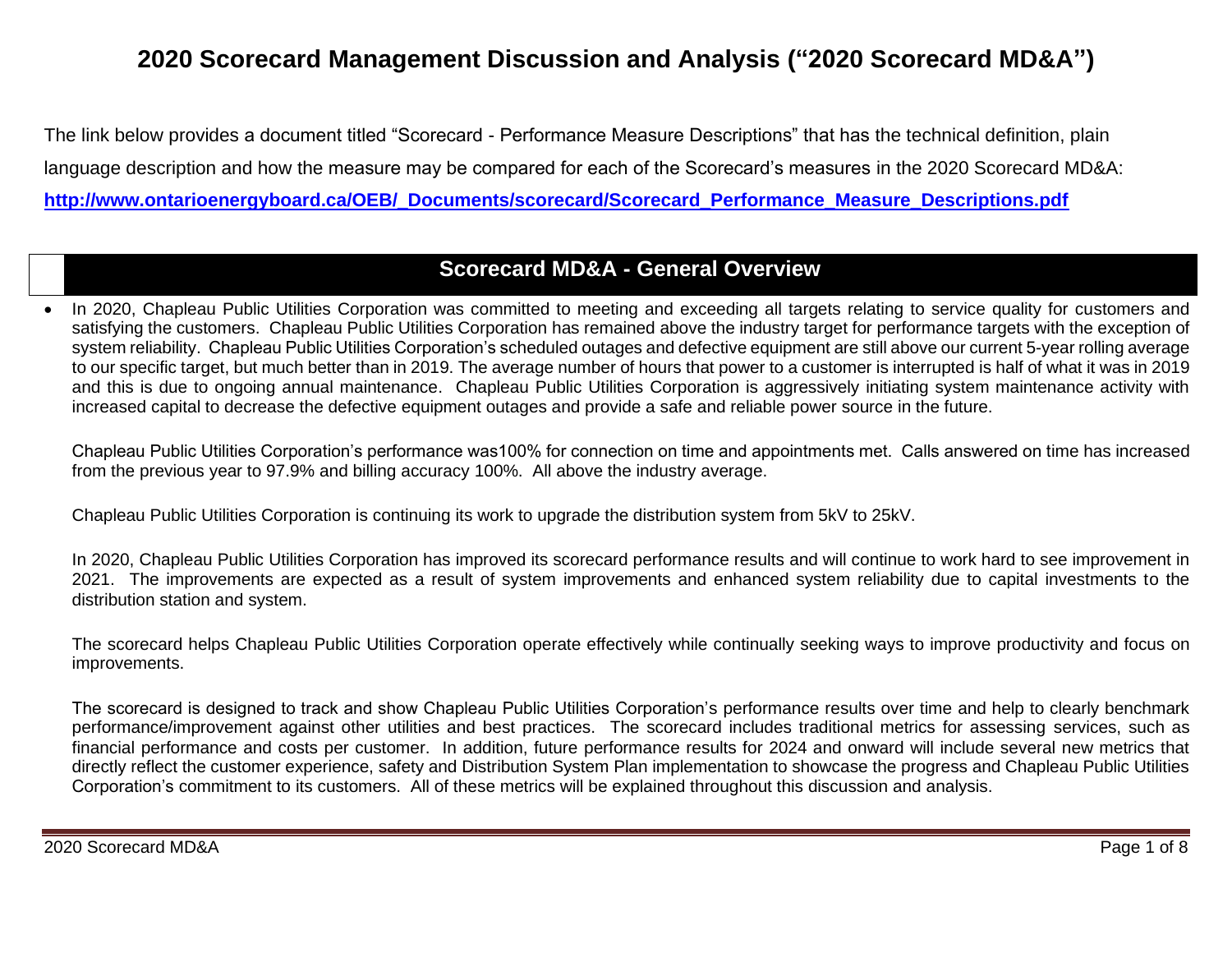# **2020 Scorecard Management Discussion and Analysis ("2020 Scorecard MD&A")**

The link below provides a document titled "Scorecard - Performance Measure Descriptions" that has the technical definition, plain language description and how the measure may be compared for each of the Scorecard's measures in the 2020 Scorecard MD&A: **[http://www.ontarioenergyboard.ca/OEB/\\_Documents/scorecard/Scorecard\\_Performance\\_Measure\\_Descriptions.pdf](http://www.ontarioenergyboard.ca/OEB/_Documents/scorecard/Scorecard_Performance_Measure_Descriptions.pdf)**

## **Scorecard MD&A - General Overview**

• In 2020, Chapleau Public Utilities Corporation was committed to meeting and exceeding all targets relating to service quality for customers and satisfying the customers. Chapleau Public Utilities Corporation has remained above the industry target for performance targets with the exception of system reliability. Chapleau Public Utilities Corporation's scheduled outages and defective equipment are still above our current 5-year rolling average to our specific target, but much better than in 2019. The average number of hours that power to a customer is interrupted is half of what it was in 2019 and this is due to ongoing annual maintenance. Chapleau Public Utilities Corporation is aggressively initiating system maintenance activity with increased capital to decrease the defective equipment outages and provide a safe and reliable power source in the future.

Chapleau Public Utilities Corporation's performance was100% for connection on time and appointments met. Calls answered on time has increased from the previous year to 97.9% and billing accuracy 100%. All above the industry average.

Chapleau Public Utilities Corporation is continuing its work to upgrade the distribution system from 5kV to 25kV.

In 2020, Chapleau Public Utilities Corporation has improved its scorecard performance results and will continue to work hard to see improvement in 2021. The improvements are expected as a result of system improvements and enhanced system reliability due to capital investments to the distribution station and system.

The scorecard helps Chapleau Public Utilities Corporation operate effectively while continually seeking ways to improve productivity and focus on improvements.

The scorecard is designed to track and show Chapleau Public Utilities Corporation's performance results over time and help to clearly benchmark performance/improvement against other utilities and best practices. The scorecard includes traditional metrics for assessing services, such as financial performance and costs per customer. In addition, future performance results for 2024 and onward will include several new metrics that directly reflect the customer experience, safety and Distribution System Plan implementation to showcase the progress and Chapleau Public Utilities Corporation's commitment to its customers. All of these metrics will be explained throughout this discussion and analysis.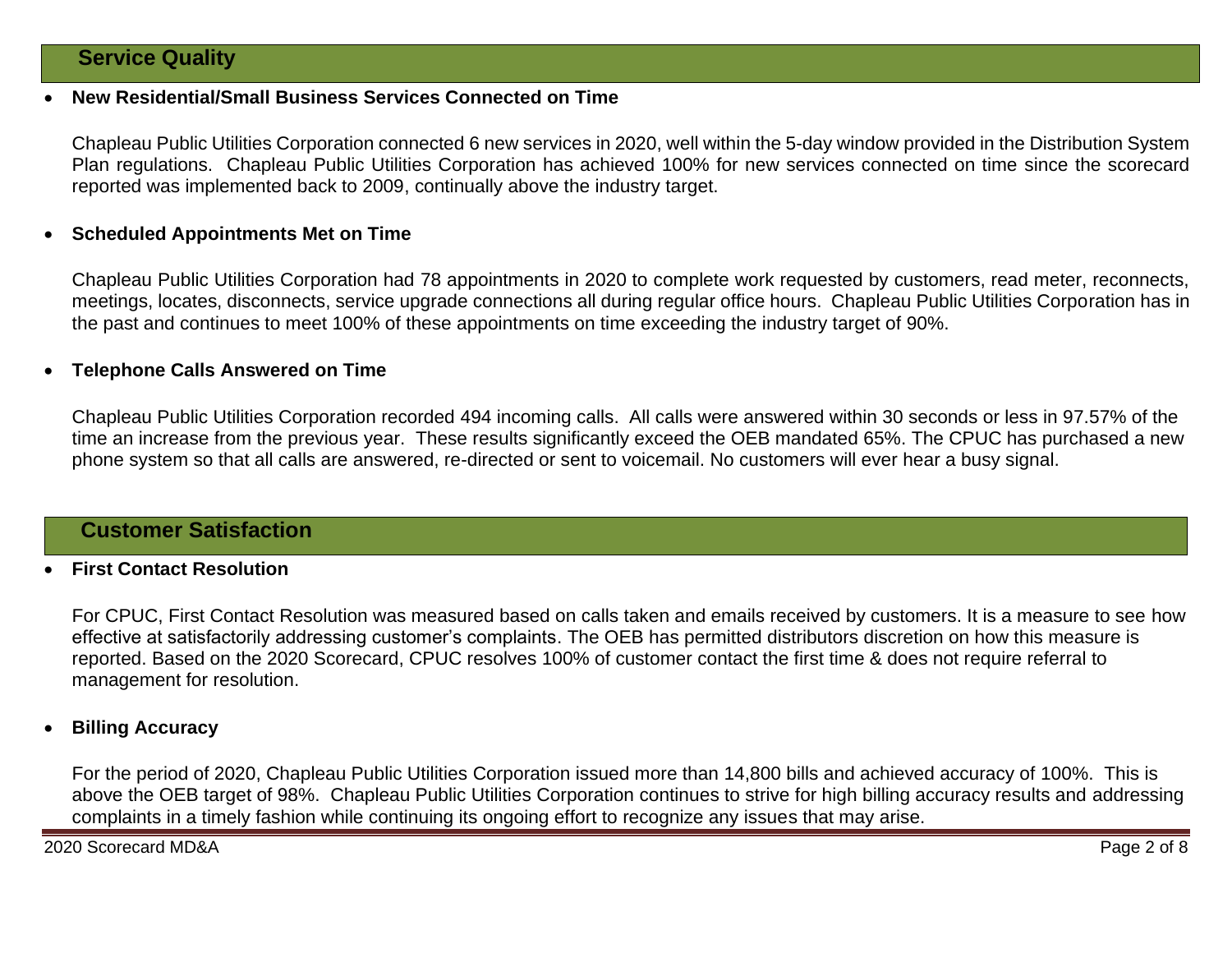#### • **New Residential/Small Business Services Connected on Time**

Chapleau Public Utilities Corporation connected 6 new services in 2020, well within the 5-day window provided in the Distribution System Plan regulations. Chapleau Public Utilities Corporation has achieved 100% for new services connected on time since the scorecard reported was implemented back to 2009, continually above the industry target.

#### • **Scheduled Appointments Met on Time**

Chapleau Public Utilities Corporation had 78 appointments in 2020 to complete work requested by customers, read meter, reconnects, meetings, locates, disconnects, service upgrade connections all during regular office hours. Chapleau Public Utilities Corporation has in the past and continues to meet 100% of these appointments on time exceeding the industry target of 90%.

#### • **Telephone Calls Answered on Time**

Chapleau Public Utilities Corporation recorded 494 incoming calls. All calls were answered within 30 seconds or less in 97.57% of the time an increase from the previous year. These results significantly exceed the OEB mandated 65%. The CPUC has purchased a new phone system so that all calls are answered, re-directed or sent to voicemail. No customers will ever hear a busy signal.

### **Customer Satisfaction**

#### • **First Contact Resolution**

For CPUC, First Contact Resolution was measured based on calls taken and emails received by customers. It is a measure to see how effective at satisfactorily addressing customer's complaints. The OEB has permitted distributors discretion on how this measure is reported. Based on the 2020 Scorecard, CPUC resolves 100% of customer contact the first time & does not require referral to management for resolution.

#### • **Billing Accuracy**

For the period of 2020, Chapleau Public Utilities Corporation issued more than 14,800 bills and achieved accuracy of 100%. This is above the OEB target of 98%. Chapleau Public Utilities Corporation continues to strive for high billing accuracy results and addressing complaints in a timely fashion while continuing its ongoing effort to recognize any issues that may arise.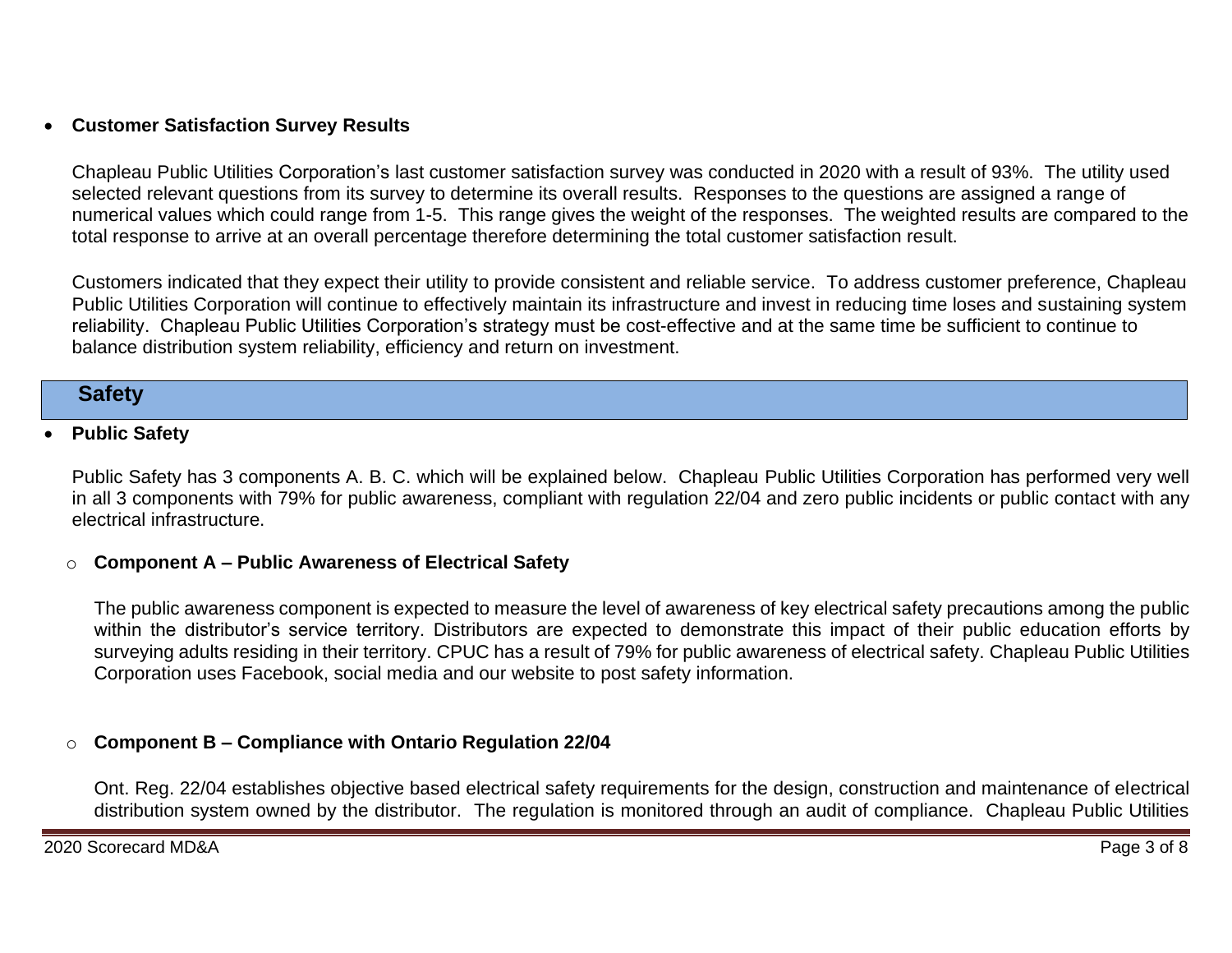## • **Customer Satisfaction Survey Results**

Chapleau Public Utilities Corporation's last customer satisfaction survey was conducted in 2020 with a result of 93%. The utility used selected relevant questions from its survey to determine its overall results. Responses to the questions are assigned a range of numerical values which could range from 1-5. This range gives the weight of the responses. The weighted results are compared to the total response to arrive at an overall percentage therefore determining the total customer satisfaction result.

Customers indicated that they expect their utility to provide consistent and reliable service. To address customer preference, Chapleau Public Utilities Corporation will continue to effectively maintain its infrastructure and invest in reducing time loses and sustaining system reliability. Chapleau Public Utilities Corporation's strategy must be cost-effective and at the same time be sufficient to continue to balance distribution system reliability, efficiency and return on investment.

## **Safety**

#### • **Public Safety**

Public Safety has 3 components A. B. C. which will be explained below. Chapleau Public Utilities Corporation has performed very well in all 3 components with 79% for public awareness, compliant with regulation 22/04 and zero public incidents or public contact with any electrical infrastructure.

### o **Component A – Public Awareness of Electrical Safety**

The public awareness component is expected to measure the level of awareness of key electrical safety precautions among the public within the distributor's service territory. Distributors are expected to demonstrate this impact of their public education efforts by surveying adults residing in their territory. CPUC has a result of 79% for public awareness of electrical safety. Chapleau Public Utilities Corporation uses Facebook, social media and our website to post safety information.

### o **Component B – Compliance with Ontario Regulation 22/04**

Ont. Reg. 22/04 establishes objective based electrical safety requirements for the design, construction and maintenance of electrical distribution system owned by the distributor. The regulation is monitored through an audit of compliance. Chapleau Public Utilities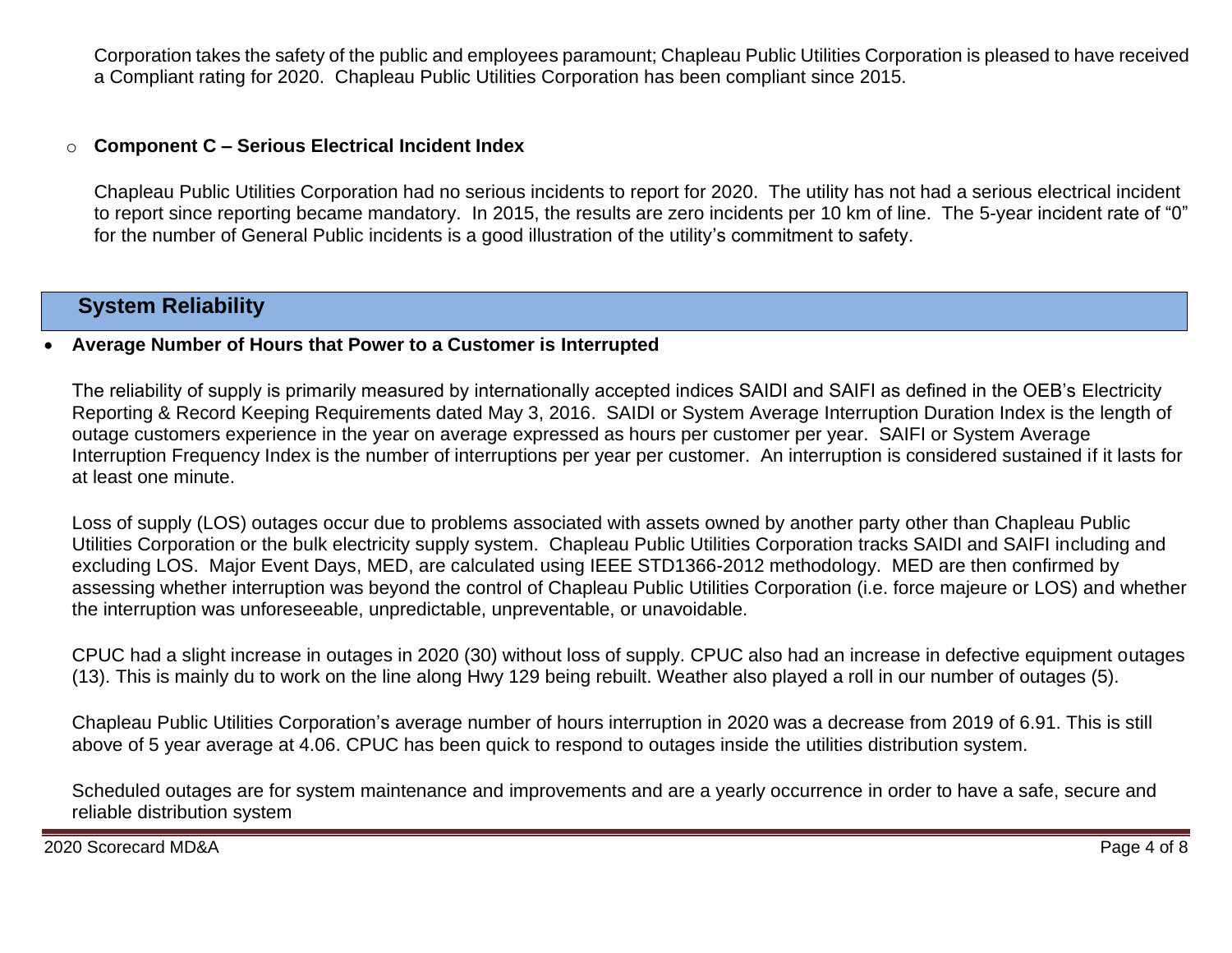Corporation takes the safety of the public and employees paramount; Chapleau Public Utilities Corporation is pleased to have received a Compliant rating for 2020. Chapleau Public Utilities Corporation has been compliant since 2015.

#### o **Component C – Serious Electrical Incident Index**

Chapleau Public Utilities Corporation had no serious incidents to report for 2020. The utility has not had a serious electrical incident to report since reporting became mandatory. In 2015, the results are zero incidents per 10 km of line. The 5-year incident rate of "0" for the number of General Public incidents is a good illustration of the utility's commitment to safety.

## **System Reliability**

#### • **Average Number of Hours that Power to a Customer is Interrupted**

The reliability of supply is primarily measured by internationally accepted indices SAIDI and SAIFI as defined in the OEB's Electricity Reporting & Record Keeping Requirements dated May 3, 2016. SAIDI or System Average Interruption Duration Index is the length of outage customers experience in the year on average expressed as hours per customer per year. SAIFI or System Average Interruption Frequency Index is the number of interruptions per year per customer. An interruption is considered sustained if it lasts for at least one minute.

Loss of supply (LOS) outages occur due to problems associated with assets owned by another party other than Chapleau Public Utilities Corporation or the bulk electricity supply system. Chapleau Public Utilities Corporation tracks SAIDI and SAIFI including and excluding LOS. Major Event Days, MED, are calculated using IEEE STD1366-2012 methodology. MED are then confirmed by assessing whether interruption was beyond the control of Chapleau Public Utilities Corporation (i.e. force majeure or LOS) and whether the interruption was unforeseeable, unpredictable, unpreventable, or unavoidable.

CPUC had a slight increase in outages in 2020 (30) without loss of supply. CPUC also had an increase in defective equipment outages (13). This is mainly du to work on the line along Hwy 129 being rebuilt. Weather also played a roll in our number of outages (5).

Chapleau Public Utilities Corporation's average number of hours interruption in 2020 was a decrease from 2019 of 6.91. This is still above of 5 year average at 4.06. CPUC has been quick to respond to outages inside the utilities distribution system.

Scheduled outages are for system maintenance and improvements and are a yearly occurrence in order to have a safe, secure and reliable distribution system

2020 Scorecard MD&A Page 4 of 8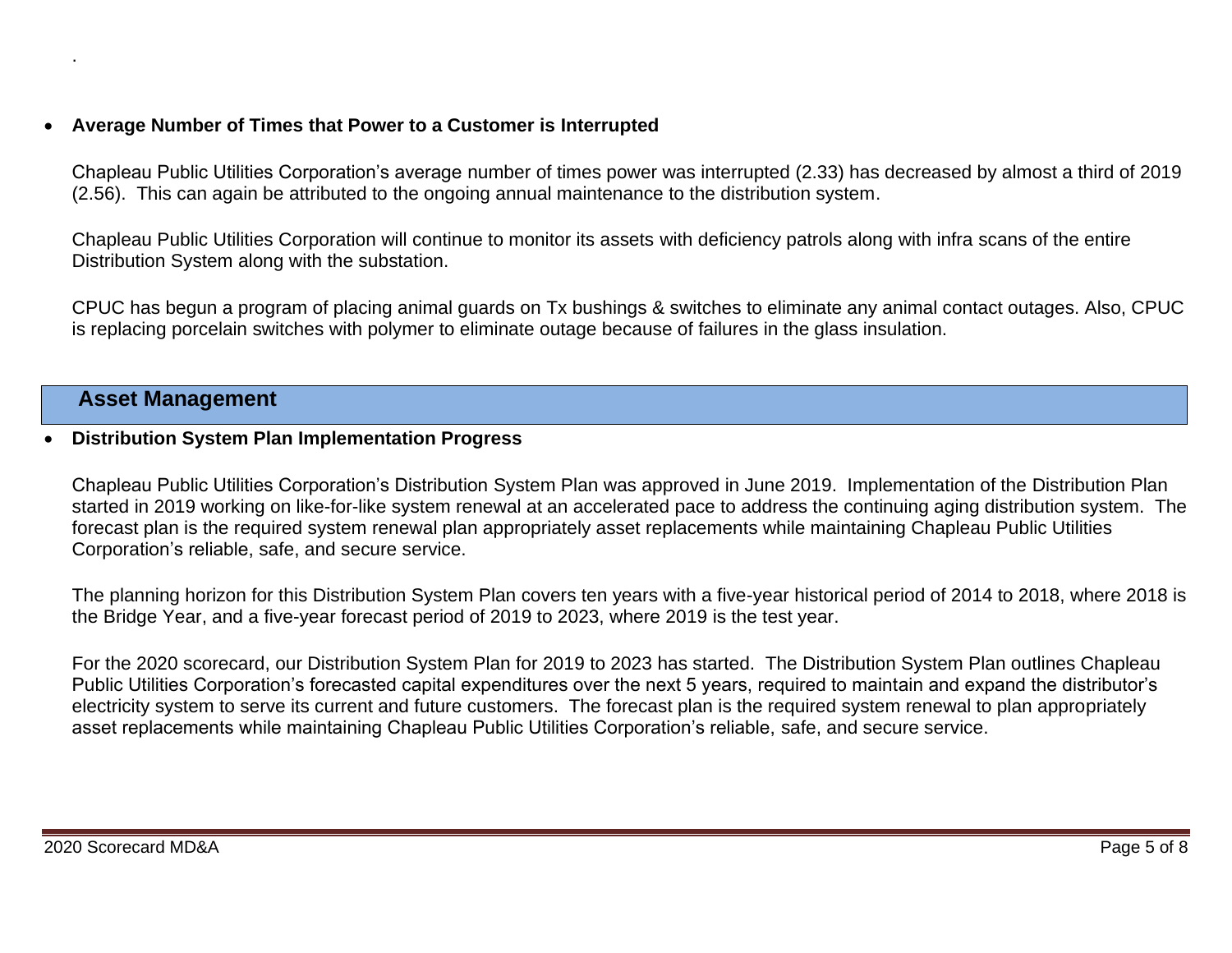### • **Average Number of Times that Power to a Customer is Interrupted**

Chapleau Public Utilities Corporation's average number of times power was interrupted (2.33) has decreased by almost a third of 2019 (2.56). This can again be attributed to the ongoing annual maintenance to the distribution system.

Chapleau Public Utilities Corporation will continue to monitor its assets with deficiency patrols along with infra scans of the entire Distribution System along with the substation.

CPUC has begun a program of placing animal guards on Tx bushings & switches to eliminate any animal contact outages. Also, CPUC is replacing porcelain switches with polymer to eliminate outage because of failures in the glass insulation.

## **Asset Management**

.

#### • **Distribution System Plan Implementation Progress**

Chapleau Public Utilities Corporation's Distribution System Plan was approved in June 2019. Implementation of the Distribution Plan started in 2019 working on like-for-like system renewal at an accelerated pace to address the continuing aging distribution system. The forecast plan is the required system renewal plan appropriately asset replacements while maintaining Chapleau Public Utilities Corporation's reliable, safe, and secure service.

The planning horizon for this Distribution System Plan covers ten years with a five-year historical period of 2014 to 2018, where 2018 is the Bridge Year, and a five-year forecast period of 2019 to 2023, where 2019 is the test year.

For the 2020 scorecard, our Distribution System Plan for 2019 to 2023 has started. The Distribution System Plan outlines Chapleau Public Utilities Corporation's forecasted capital expenditures over the next 5 years, required to maintain and expand the distributor's electricity system to serve its current and future customers. The forecast plan is the required system renewal to plan appropriately asset replacements while maintaining Chapleau Public Utilities Corporation's reliable, safe, and secure service.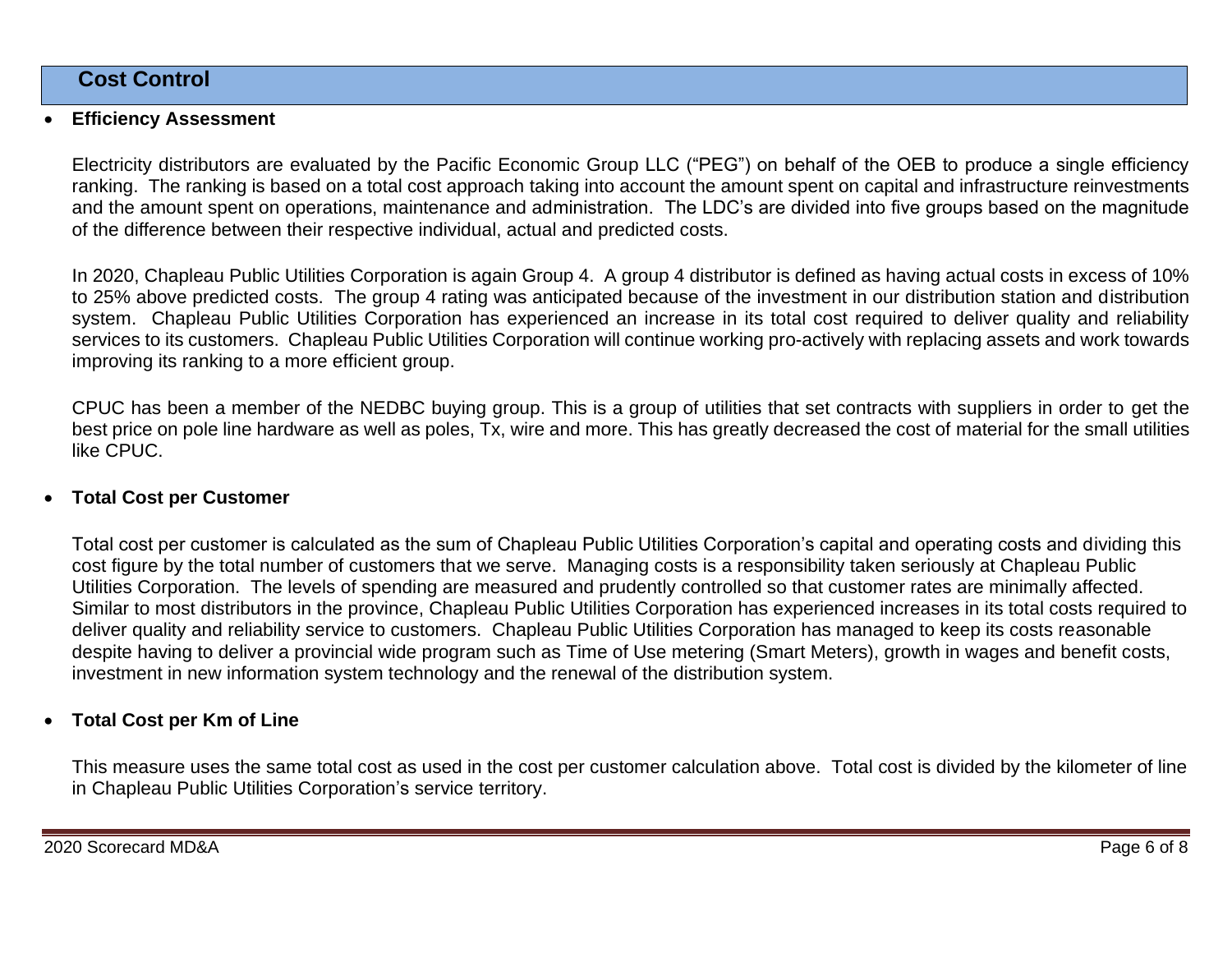## **Cost Control**

#### • **Efficiency Assessment**

Electricity distributors are evaluated by the Pacific Economic Group LLC ("PEG") on behalf of the OEB to produce a single efficiency ranking. The ranking is based on a total cost approach taking into account the amount spent on capital and infrastructure reinvestments and the amount spent on operations, maintenance and administration. The LDC's are divided into five groups based on the magnitude of the difference between their respective individual, actual and predicted costs.

In 2020, Chapleau Public Utilities Corporation is again Group 4. A group 4 distributor is defined as having actual costs in excess of 10% to 25% above predicted costs. The group 4 rating was anticipated because of the investment in our distribution station and distribution system. Chapleau Public Utilities Corporation has experienced an increase in its total cost required to deliver quality and reliability services to its customers. Chapleau Public Utilities Corporation will continue working pro-actively with replacing assets and work towards improving its ranking to a more efficient group.

CPUC has been a member of the NEDBC buying group. This is a group of utilities that set contracts with suppliers in order to get the best price on pole line hardware as well as poles, Tx, wire and more. This has greatly decreased the cost of material for the small utilities like CPUC.

#### • **Total Cost per Customer**

Total cost per customer is calculated as the sum of Chapleau Public Utilities Corporation's capital and operating costs and dividing this cost figure by the total number of customers that we serve. Managing costs is a responsibility taken seriously at Chapleau Public Utilities Corporation. The levels of spending are measured and prudently controlled so that customer rates are minimally affected. Similar to most distributors in the province, Chapleau Public Utilities Corporation has experienced increases in its total costs required to deliver quality and reliability service to customers. Chapleau Public Utilities Corporation has managed to keep its costs reasonable despite having to deliver a provincial wide program such as Time of Use metering (Smart Meters), growth in wages and benefit costs, investment in new information system technology and the renewal of the distribution system.

### • **Total Cost per Km of Line**

This measure uses the same total cost as used in the cost per customer calculation above. Total cost is divided by the kilometer of line in Chapleau Public Utilities Corporation's service territory.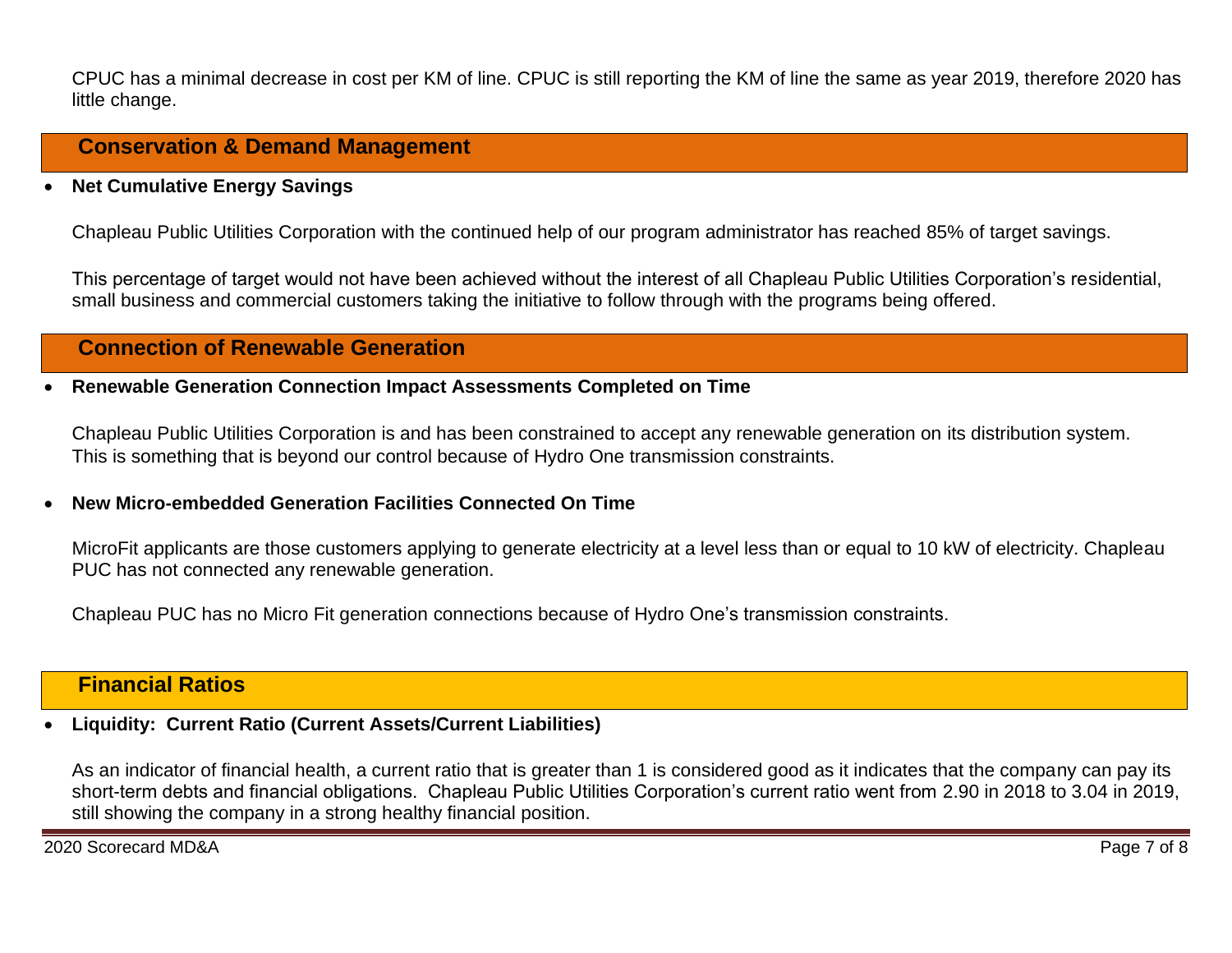CPUC has a minimal decrease in cost per KM of line. CPUC is still reporting the KM of line the same as year 2019, therefore 2020 has little change.

## **Conservation & Demand Management**

• **Net Cumulative Energy Savings** 

Chapleau Public Utilities Corporation with the continued help of our program administrator has reached 85% of target savings.

This percentage of target would not have been achieved without the interest of all Chapleau Public Utilities Corporation's residential, small business and commercial customers taking the initiative to follow through with the programs being offered.

## **Connection of Renewable Generation**

#### • **Renewable Generation Connection Impact Assessments Completed on Time**

Chapleau Public Utilities Corporation is and has been constrained to accept any renewable generation on its distribution system. This is something that is beyond our control because of Hydro One transmission constraints.

#### • **New Micro-embedded Generation Facilities Connected On Time**

MicroFit applicants are those customers applying to generate electricity at a level less than or equal to 10 kW of electricity. Chapleau PUC has not connected any renewable generation.

Chapleau PUC has no Micro Fit generation connections because of Hydro One's transmission constraints.

## **Financial Ratios**

#### • **Liquidity: Current Ratio (Current Assets/Current Liabilities)**

As an indicator of financial health, a current ratio that is greater than 1 is considered good as it indicates that the company can pay its short-term debts and financial obligations. Chapleau Public Utilities Corporation's current ratio went from 2.90 in 2018 to 3.04 in 2019, still showing the company in a strong healthy financial position.